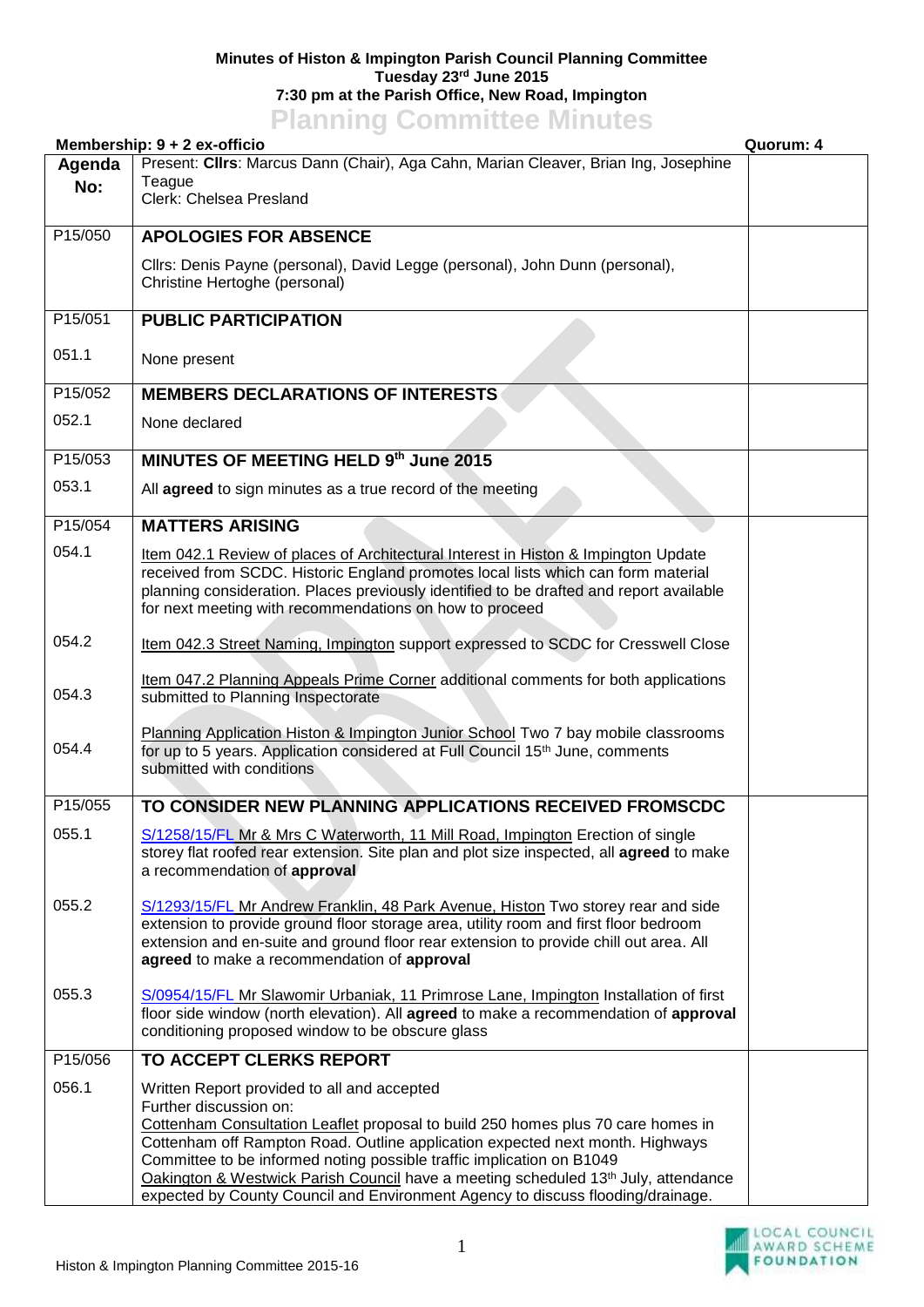## **Minutes of Histon & Impington Parish Council Planning Committee Tuesday 23rd June 2015 7:30 pm at the Parish Office, New Road, Impington Planning Committee Minutes**

|               | Membership: 9 + 2 ex-officio                                                                                                                                                                                                                                                                                                                                                                                                                                                                             | Quorum: 4 |
|---------------|----------------------------------------------------------------------------------------------------------------------------------------------------------------------------------------------------------------------------------------------------------------------------------------------------------------------------------------------------------------------------------------------------------------------------------------------------------------------------------------------------------|-----------|
| Agenda<br>No: | Present: Cllrs: Marcus Dann (Chair), Aga Cahn, Marian Cleaver, Brian Ing, Josephine<br>Teague<br>Clerk: Chelsea Presland                                                                                                                                                                                                                                                                                                                                                                                 |           |
| P15/050       | <b>APOLOGIES FOR ABSENCE</b>                                                                                                                                                                                                                                                                                                                                                                                                                                                                             |           |
|               | Cllrs: Denis Payne (personal), David Legge (personal), John Dunn (personal),<br>Christine Hertoghe (personal)                                                                                                                                                                                                                                                                                                                                                                                            |           |
| P15/051       | <b>PUBLIC PARTICIPATION</b>                                                                                                                                                                                                                                                                                                                                                                                                                                                                              |           |
| 051.1         | None present                                                                                                                                                                                                                                                                                                                                                                                                                                                                                             |           |
| P15/052       | <b>MEMBERS DECLARATIONS OF INTERESTS</b>                                                                                                                                                                                                                                                                                                                                                                                                                                                                 |           |
| 052.1         | None declared                                                                                                                                                                                                                                                                                                                                                                                                                                                                                            |           |
| P15/053       | MINUTES OF MEETING HELD 9th June 2015                                                                                                                                                                                                                                                                                                                                                                                                                                                                    |           |
| 053.1         | All agreed to sign minutes as a true record of the meeting                                                                                                                                                                                                                                                                                                                                                                                                                                               |           |
| P15/054       | <b>MATTERS ARISING</b>                                                                                                                                                                                                                                                                                                                                                                                                                                                                                   |           |
| 054.1         | Item 042.1 Review of places of Architectural Interest in Histon & Impington Update<br>received from SCDC. Historic England promotes local lists which can form material<br>planning consideration. Places previously identified to be drafted and report available<br>for next meeting with recommendations on how to proceed                                                                                                                                                                            |           |
| 054.2         | Item 042.3 Street Naming, Impington support expressed to SCDC for Cresswell Close                                                                                                                                                                                                                                                                                                                                                                                                                        |           |
| 054.3         | Item 047.2 Planning Appeals Prime Corner additional comments for both applications<br>submitted to Planning Inspectorate                                                                                                                                                                                                                                                                                                                                                                                 |           |
| 054.4         | Planning Application Histon & Impington Junior School Two 7 bay mobile classrooms<br>for up to 5 years. Application considered at Full Council 15 <sup>th</sup> June, comments<br>submitted with conditions                                                                                                                                                                                                                                                                                              |           |
| P15/055       | TO CONSIDER NEW PLANNING APPLICATIONS RECEIVED FROMSCDC                                                                                                                                                                                                                                                                                                                                                                                                                                                  |           |
| 055.1         | S/1258/15/FL Mr & Mrs C Waterworth, 11 Mill Road, Impington Erection of single<br>storey flat roofed rear extension. Site plan and plot size inspected, all agreed to make<br>a recommendation of approval                                                                                                                                                                                                                                                                                               |           |
| 055.2         | S/1293/15/FL Mr Andrew Franklin, 48 Park Avenue, Histon Two storey rear and side<br>extension to provide ground floor storage area, utility room and first floor bedroom<br>extension and en-suite and ground floor rear extension to provide chill out area. All<br>agreed to make a recommendation of approval                                                                                                                                                                                         |           |
| 055.3         | S/0954/15/FL Mr Slawomir Urbaniak, 11 Primrose Lane, Impington Installation of first<br>floor side window (north elevation). All agreed to make a recommendation of approval<br>conditioning proposed window to be obscure glass                                                                                                                                                                                                                                                                         |           |
| P15/056       | TO ACCEPT CLERKS REPORT                                                                                                                                                                                                                                                                                                                                                                                                                                                                                  |           |
| 056.1         | Written Report provided to all and accepted<br>Further discussion on:<br>Cottenham Consultation Leaflet proposal to build 250 homes plus 70 care homes in<br>Cottenham off Rampton Road. Outline application expected next month. Highways<br>Committee to be informed noting possible traffic implication on B1049<br>Oakington & Westwick Parish Council have a meeting scheduled 13 <sup>th</sup> July, attendance<br>expected by County Council and Environment Agency to discuss flooding/drainage. |           |